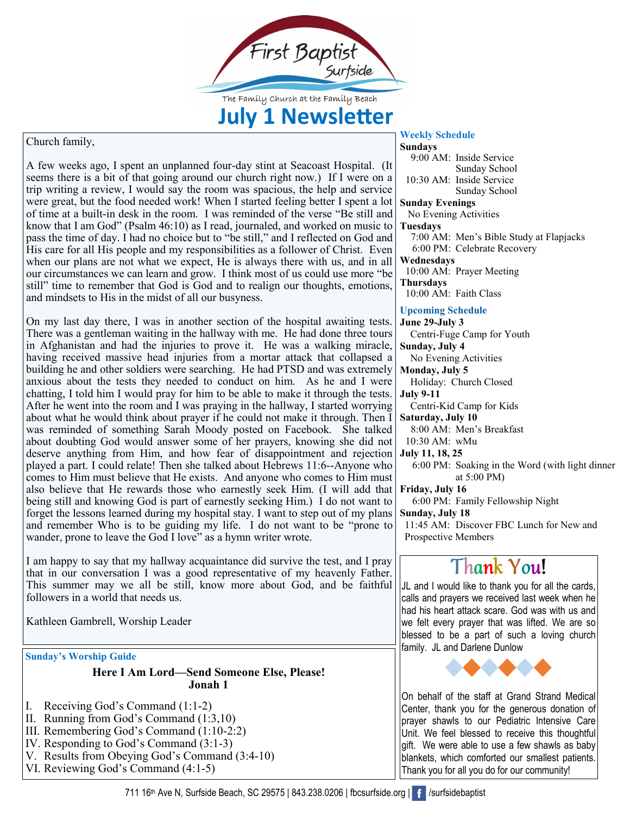

The Family Church at the Family Beach

## **July 1 Newsletter**

## Church family,

*Merry Emaily,*<br>*Mercia ago, I spent an unplanned four-day stint at Seacoast Hostere is a bit of that going around our church right now.) If I w* were great, but the food needed work! When I started feeling better I spent a lot know that I am God" (Psalm 46:10) as I read, journaled, and worked on music to pass the time of day. I had no choice but to "be still," and I reflected on God and when our plans are not what we expect, He is always there with us, and in all<br>any aircumstances we can learn and grow. I think meet of us could use more "be sun time to remember that God is God and to rea<br>and mindsets to His in the midst of all our busyness. A few weeks ago, I spent an unplanned four-day stint at Seacoast Hospital. (It seems there is a bit of that going around our church right now.) If I were on a trip writing a review, I would say the room was spacious, the help and service of time at a built-in desk in the room. I was reminded of the verse "Be still and know that I am God" (Psalm 46:10) as I read, journaled, and worked on music to His care for all His people and my responsibilities as a follower of Christ. Even our circumstances we can learn and grow. I think most of us could use more "be still" time to remember that God is God and to realign our thoughts, emotions,

On my last day there, I was in another section of the hospital awaiting tests.<br>There was a gentleman waiting in the hallway with me. He had done three tours *In regnantsian* and had the injuries to prove *n*. The was a waiking inflacte, having received massive head injuries from a mortar attack that collapsed a anxious about the tests they needed to conduct on him. As he and I were chatting, I told him I would pray for him to be able to make it through the tests. about what he would think about prayer if he could not make it through. Then I about doubting God would answer some of her prayers, knowing she did not<br>deserve anything from Him, and how fear of disappointment and rejection **Comes to Him must believe that He exists.** And anyone who comes to Him must also heliove that He rewards these who correctly scale Him (I will add that being sun and knowing God is part of earnestly seeking Film.) I do not want to forget the lessons learned during my hospital stay. I want to step out of my plans and remember Who is to be guiding my life. I do not want to There was a gentleman waiting in the hallway with me. He had done three tours in Afghanistan and had the injuries to prove it. He was a walking miracle, building he and other soldiers were searching. He had PTSD and was extremely anxious about the tests they needed to conduct on him. As he and I were After he went into the room and I was praying in the hallway, I started worrying was reminded of something Sarah Moody posted on Facebook. She talked about doubting God would answer some of her prayers, knowing she did not played a part. I could relate! Then she talked about Hebrews 11:6--Anyone who also believe that He rewards those who earnestly seek Him. (I will add that being still and knowing God is part of earnestly seeking Him.) I do not want to forget the lessons learned during my hospital stay. I want to step out of my plans wander, prone to leave the God I love" as a hymn writer wrote.

I am happy to say that my hallway acquaintance did survive the test, and I pray that in our conversation I was a good representative of my heavenly Father. This summer may we all be still, know more about God, and be faith I am happy to say that my hallway acquaintance did survive the test, and I pray that in our conversation I was a good representative of my heavenly Father. followers in a world that needs us.

athleen Gambrell, Worship Leader Kathleen Gambrell, Worship Leader

**Sunday's Worship Guide**

**Here I Am Lord—Send Someone Else, Please! Jonah 1**

- I. Receiving God's Command (1:1-2)
- II. Running from God's Command (1:3,10)
- III. Remembering God's Command (1:10-2:2)
- IV. Responding to God's Command (3:1-3)
- V. Results from Obeying God's Command (3:4-10)
- VI. Reviewing God's Command (4:1-5)

## **Sundays** 9:00 AM: Inside Service Sunday School 10:30 AM: Inside Service Sunday School **Sunday Evenings**  No Evening Activities **Tuesdays** 7:00 AM: Men's Bible Study at Flapjacks 6:00 PM: Celebrate Recovery **Wednesdays**  10:00 AM: Prayer Meeting **Thursdays**  10:00 AM: Faith Class **Upcoming Schedule June 29-July 3** Centri-Fuge Camp for Youth **Sunday, July 4** No Evening Activities **Monday, July 5** Holiday: Church Closed **July 9-11** Centri-Kid Camp for Kids **Saturday, July 10** 8:00 AM: Men's Breakfast 10:30 AM: wMu **July 11, 18, 25** 6:00 PM: Soaking in the Word (with light dinner

**Weekly Schedule**

at 5:00 PM) **Friday, July 16** 6:00 PM: Family Fellowship Night

**Sunday, July 18**

11:45 AM: Discover FBC Lunch for New and Prospective Members

## **Thank You!**

JL and I would like to thank you for all the cards, calls and prayers we received last week when he had his heart attack scare. God was with us and we felt every prayer that was lifted. We are so blessed to be a part of such a loving church family. JL and Darlene Dunlow



On behalf of the staff at Grand Strand Medical Center, thank you for the generous donation of prayer shawls to our Pediatric Intensive Care Unit. We feel blessed to receive this thoughtful gift. We were able to use a few shawls as baby blankets, which comforted our smallest patients. Thank you for all you do for our community!